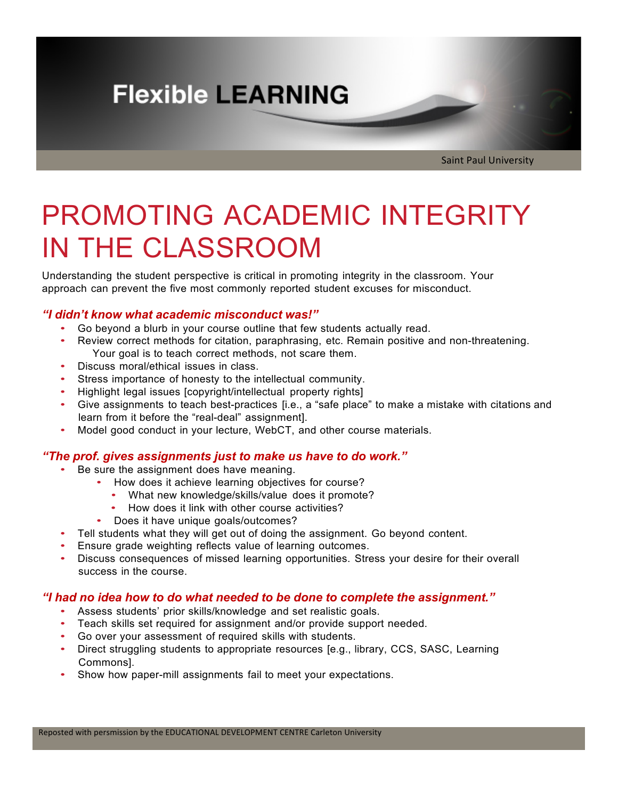# **Flexible LEARNING**

Saint Paul University

# PROMOTING ACADEMIC INTEGRITY IN THE CLASSROOM

Understanding the student perspective is critical in promoting integrity in the classroom. Your approach can prevent the five most commonly reported student excuses for misconduct.

## *"I didn't know what academic misconduct was!"*

- Go beyond a blurb in your course outline that few students actually read.
- Review correct methods for citation, paraphrasing, etc. Remain positive and non-threatening. Your goal is to teach correct methods, not scare them.
- Discuss moral/ethical issues in class.
- Stress importance of honesty to the intellectual community.
- Highlight legal issues [copyright/intellectual property rights]
- Give assignments to teach best-practices [i.e., a "safe place" to make a mistake with citations and learn from it before the "real-deal" assignment].
- Model good conduct in your lecture, WebCT, and other course materials.

### *"The prof. gives assignments just to make us have to do work."*

- Be sure the assignment does have meaning.
	- How does it achieve learning objectives for course?
		- What new knowledge/skills/value does it promote?
		- How does it link with other course activities?
	- Does it have unique goals/outcomes?
- Tell students what they will get out of doing the assignment. Go beyond content.
- Ensure grade weighting reflects value of learning outcomes.
- Discuss consequences of missed learning opportunities. Stress your desire for their overall success in the course.

### *"I had no idea how to do what needed to be done to complete the assignment."*

- Assess students' prior skills/knowledge and set realistic goals.
- Teach skills set required for assignment and/or provide support needed.
- Go over your assessment of required skills with students.
- Direct struggling students to appropriate resources [e.g., library, CCS, SASC, Learning Commons].
- Show how paper-mill assignments fail to meet your expectations.